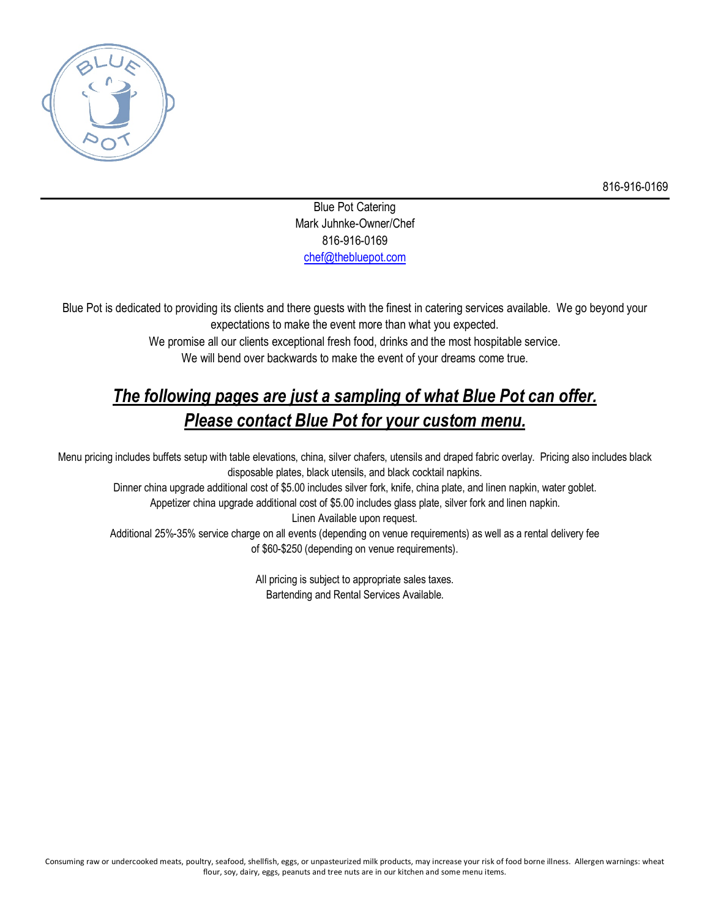

Blue Pot Catering Mark Juhnke-Owner/Chef 816-916-0169 chef@thebluepot.com

Blue Pot is dedicated to providing its clients and there guests with the finest in catering services available. We go beyond your expectations to make the event more than what you expected.

> We promise all our clients exceptional fresh food, drinks and the most hospitable service. We will bend over backwards to make the event of your dreams come true.

# *The following pages are just a sampling of what Blue Pot can offer. Please contact Blue Pot for your custom menu.*

Menu pricing includes buffets setup with table elevations, china, silver chafers, utensils and draped fabric overlay. Pricing also includes black disposable plates, black utensils, and black cocktail napkins.

Dinner china upgrade additional cost of \$5.00 includes silver fork, knife, china plate, and linen napkin, water goblet.

Appetizer china upgrade additional cost of \$5.00 includes glass plate, silver fork and linen napkin.

Linen Available upon request.

Additional 25%-35% service charge on all events (depending on venue requirements) as well as a rental delivery fee of \$60-\$250 (depending on venue requirements).

> All pricing is subject to appropriate sales taxes. Bartending and Rental Services Available.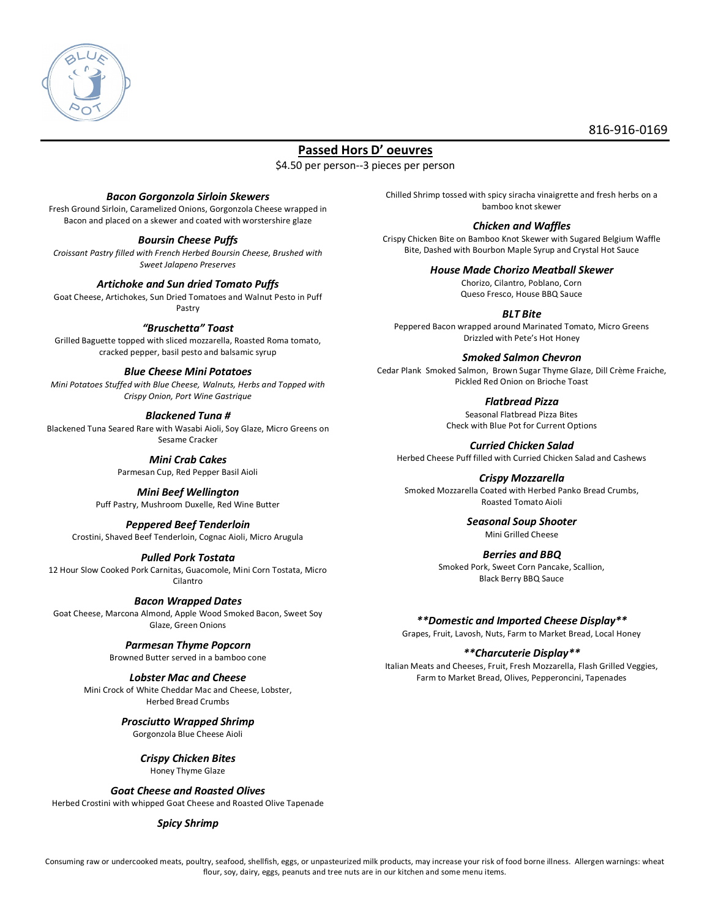

# **Passed Hors D' oeuvres**

\$4.50 per person--3 pieces per person

### *Bacon Gorgonzola Sirloin Skewers*

Fresh Ground Sirloin, Caramelized Onions, Gorgonzola Cheese wrapped in Bacon and placed on a skewer and coated with worstershire glaze

### *Boursin Cheese Puffs*

*Croissant Pastry filled with French Herbed Boursin Cheese, Brushed with Sweet Jalapeno Preserves*

### *Artichoke and Sun dried Tomato Puffs*

Goat Cheese, Artichokes, Sun Dried Tomatoes and Walnut Pesto in Puff Pastry

### *"Bruschetta" Toast*

Grilled Baguette topped with sliced mozzarella, Roasted Roma tomato, cracked pepper, basil pesto and balsamic syrup

### *Blue Cheese Mini Potatoes*

*Mini Potatoes Stuffed with Blue Cheese, Walnuts, Herbs and Topped with Crispy Onion, Port Wine Gastrique*

### *Blackened Tuna #*

Blackened Tuna Seared Rare with Wasabi Aioli, Soy Glaze, Micro Greens on Sesame Cracker

### *Mini Crab Cakes*

Parmesan Cup, Red Pepper Basil Aioli

### *Mini Beef Wellington*

Puff Pastry, Mushroom Duxelle, Red Wine Butter

### *Peppered Beef Tenderloin*

Crostini, Shaved Beef Tenderloin, Cognac Aioli, Micro Arugula

#### *Pulled Pork Tostata*

12 Hour Slow Cooked Pork Carnitas, Guacomole, Mini Corn Tostata, Micro Cilantro

### *Bacon Wrapped Dates*

Goat Cheese, Marcona Almond, Apple Wood Smoked Bacon, Sweet Soy Glaze, Green Onions

### *Parmesan Thyme Popcorn*

Browned Butter served in a bamboo cone

### *Lobster Mac and Cheese*

Mini Crock of White Cheddar Mac and Cheese, Lobster, Herbed Bread Crumbs

### *Prosciutto Wrapped Shrimp*

Gorgonzola Blue Cheese Aioli

### *Crispy Chicken Bites*

Honey Thyme Glaze

*Goat Cheese and Roasted Olives*

Herbed Crostini with whipped Goat Cheese and Roasted Olive Tapenade

#### *Spicy Shrimp*

Chilled Shrimp tossed with spicy siracha vinaigrette and fresh herbs on a bamboo knot skewer

#### *Chicken and Waffles*

Crispy Chicken Bite on Bamboo Knot Skewer with Sugared Belgium Waffle Bite, Dashed with Bourbon Maple Syrup and Crystal Hot Sauce

> *House Made Chorizo Meatball Skewer* Chorizo, Cilantro, Poblano, Corn

Queso Fresco, House BBQ Sauce

*BLT Bite* Peppered Bacon wrapped around Marinated Tomato, Micro Greens Drizzled with Pete's Hot Honey

### *Smoked Salmon Chevron*

Cedar Plank Smoked Salmon, Brown Sugar Thyme Glaze, Dill Crème Fraiche, Pickled Red Onion on Brioche Toast

### *Flatbread Pizza*

Seasonal Flatbread Pizza Bites Check with Blue Pot for Current Options

*Curried Chicken Salad* Herbed Cheese Puff filled with Curried Chicken Salad and Cashews

*Crispy Mozzarella*

Smoked Mozzarella Coated with Herbed Panko Bread Crumbs, Roasted Tomato Aioli

> *Seasonal Soup Shooter* Mini Grilled Cheese

### *Berries and BBQ*

Smoked Pork, Sweet Corn Pancake, Scallion, Black Berry BBQ Sauce

*\*\*Domestic and Imported Cheese Display\*\**

Grapes, Fruit, Lavosh, Nuts, Farm to Market Bread, Local Honey

### *\*\*Charcuterie Display\*\**

Italian Meats and Cheeses, Fruit, Fresh Mozzarella, Flash Grilled Veggies, Farm to Market Bread, Olives, Pepperoncini, Tapenades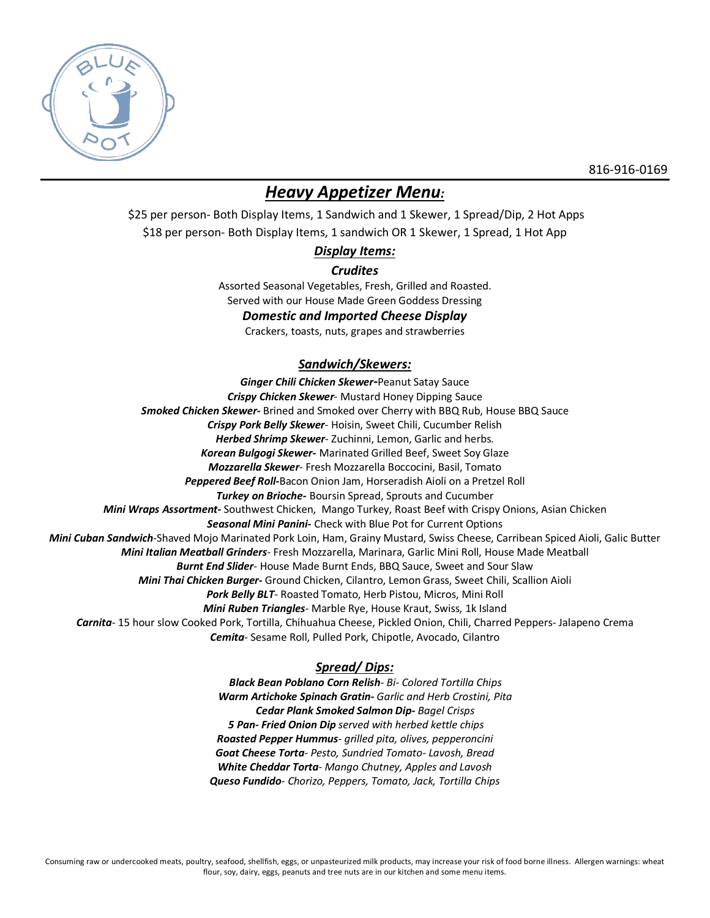

# *Heavy Appetizer Menu:*

\$25 per person- Both Display Items, 1 Sandwich and 1 Skewer, 1 Spread/Dip, 2 Hot Apps \$18 per person- Both Display Items, 1 sandwich OR 1 Skewer, 1 Spread, 1 Hot App

# *Display Items:*

# *Crudites*

Assorted Seasonal Vegetables, Fresh, Grilled and Roasted. Served with our House Made Green Goddess Dressing

# *Domestic and Imported Cheese Display*

Crackers, toasts, nuts, grapes and strawberries

# *Sandwich/Skewers:*

*Ginger Chili Chicken Skewer-*Peanut Satay Sauce *Crispy Chicken Skewer*- Mustard Honey Dipping Sauce *Smoked Chicken Skewer-* Brined and Smoked over Cherry with BBQ Rub, House BBQ Sauce *Crispy Pork Belly Skewer*- Hoisin, Sweet Chili, Cucumber Relish *Herbed Shrimp Skewer*- Zuchinni, Lemon, Garlic and herbs. *Korean Bulgogi Skewer-* Marinated Grilled Beef, Sweet Soy Glaze *Mozzarella Skewer*- Fresh Mozzarella Boccocini, Basil, Tomato *Peppered Beef Roll-*Bacon Onion Jam, Horseradish Aioli on a Pretzel Roll *Turkey on Brioche-* Boursin Spread, Sprouts and Cucumber *Mini Wraps Assortment-* Southwest Chicken, Mango Turkey, Roast Beef with Crispy Onions, Asian Chicken *Seasonal Mini Panini-* Check with Blue Pot for Current Options *Mini Cuban Sandwich*-Shaved Mojo Marinated Pork Loin, Ham, Grainy Mustard, Swiss Cheese, Carribean Spiced Aioli, Galic Butter *Mini Italian Meatball Grinders*- Fresh Mozzarella, Marinara, Garlic Mini Roll, House Made Meatball *Burnt End Slider*- House Made Burnt Ends, BBQ Sauce, Sweet and Sour Slaw *Mini Thai Chicken Burger-* Ground Chicken, Cilantro, Lemon Grass, Sweet Chili, Scallion Aioli *Pork Belly BLT*- Roasted Tomato, Herb Pistou, Micros, Mini Roll *Mini Ruben Triangles*- Marble Rye, House Kraut, Swiss, 1k Island *Carnita*- 15 hour slow Cooked Pork, Tortilla, Chihuahua Cheese, Pickled Onion, Chili, Charred Peppers- Jalapeno Crema *Cemita*- Sesame Roll, Pulled Pork, Chipotle, Avocado, Cilantro

# *Spread/ Dips:*

*Black Bean Poblano Corn Relish- Bi- Colored Tortilla Chips Warm Artichoke Spinach Gratin- Garlic and Herb Crostini, Pita Cedar Plank Smoked Salmon Dip- Bagel Crisps 5 Pan- Fried Onion Dip served with herbed kettle chips Roasted Pepper Hummus- grilled pita, olives, pepperoncini Goat Cheese Torta- Pesto, Sundried Tomato- Lavosh, Bread White Cheddar Torta- Mango Chutney, Apples and Lavosh Queso Fundido- Chorizo, Peppers, Tomato, Jack, Tortilla Chips*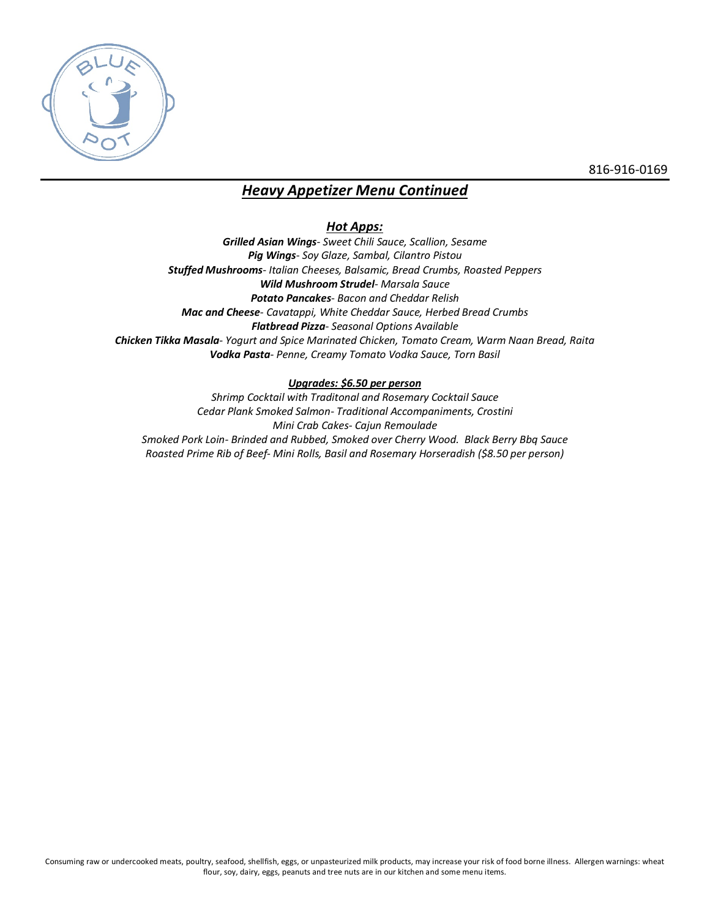

# *Heavy Appetizer Menu Continued*

# *Hot Apps:*

*Grilled Asian Wings- Sweet Chili Sauce, Scallion, Sesame Pig Wings- Soy Glaze, Sambal, Cilantro Pistou Stuffed Mushrooms- Italian Cheeses, Balsamic, Bread Crumbs, Roasted Peppers Wild Mushroom Strudel- Marsala Sauce Potato Pancakes- Bacon and Cheddar Relish Mac and Cheese- Cavatappi, White Cheddar Sauce, Herbed Bread Crumbs Flatbread Pizza- Seasonal Options Available Chicken Tikka Masala- Yogurt and Spice Marinated Chicken, Tomato Cream, Warm Naan Bread, Raita Vodka Pasta- Penne, Creamy Tomato Vodka Sauce, Torn Basil*

# *Upgrades: \$6.50 per person*

*Shrimp Cocktail with Traditonal and Rosemary Cocktail Sauce Cedar Plank Smoked Salmon- Traditional Accompaniments, Crostini Mini Crab Cakes- Cajun Remoulade Smoked Pork Loin- Brinded and Rubbed, Smoked over Cherry Wood. Black Berry Bbq Sauce Roasted Prime Rib of Beef- Mini Rolls, Basil and Rosemary Horseradish (\$8.50 per person)*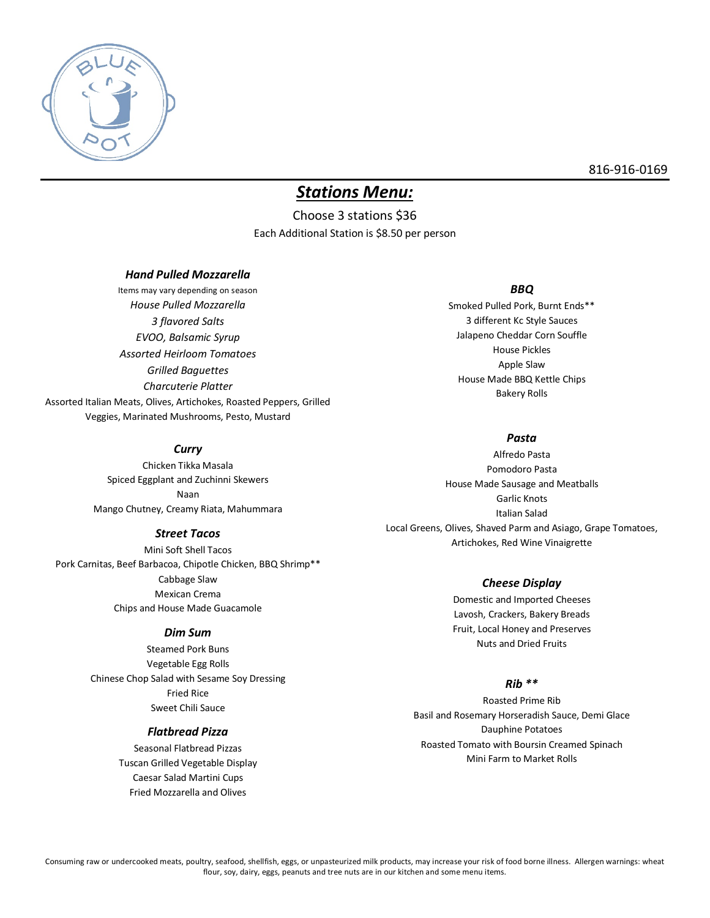

# *Stations Menu:*

Choose 3 stations \$36 Each Additional Station is \$8.50 per person

### *Hand Pulled Mozzarella*

Items may vary depending on season *House Pulled Mozzarella 3 flavored Salts EVOO, Balsamic Syrup Assorted Heirloom Tomatoes Grilled Baguettes Charcuterie Platter* Assorted Italian Meats, Olives, Artichokes, Roasted Peppers, Grilled Veggies, Marinated Mushrooms, Pesto, Mustard

### *BBQ*

Smoked Pulled Pork, Burnt Ends\*\* 3 different Kc Style Sauces Jalapeno Cheddar Corn Souffle House Pickles Apple Slaw House Made BBQ Kettle Chips Bakery Rolls

## *Pasta*

Alfredo Pasta Pomodoro Pasta House Made Sausage and Meatballs Garlic Knots Italian Salad Local Greens, Olives, Shaved Parm and Asiago, Grape Tomatoes, Artichokes, Red Wine Vinaigrette

### *Cheese Display*

Domestic and Imported Cheeses Lavosh, Crackers, Bakery Breads Fruit, Local Honey and Preserves Nuts and Dried Fruits

# *Rib \*\**

Roasted Prime Rib Basil and Rosemary Horseradish Sauce, Demi Glace Dauphine Potatoes Roasted Tomato with Boursin Creamed Spinach Mini Farm to Market Rolls

### *Curry*

Chicken Tikka Masala Spiced Eggplant and Zuchinni Skewers Naan Mango Chutney, Creamy Riata, Mahummara

### *Street Tacos*

Mini Soft Shell Tacos Pork Carnitas, Beef Barbacoa, Chipotle Chicken, BBQ Shrimp\*\* Cabbage Slaw Mexican Crema Chips and House Made Guacamole

#### *Dim Sum*

Steamed Pork Buns Vegetable Egg Rolls Chinese Chop Salad with Sesame Soy Dressing Fried Rice Sweet Chili Sauce

### *Flatbread Pizza*

Seasonal Flatbread Pizzas Tuscan Grilled Vegetable Display Caesar Salad Martini Cups Fried Mozzarella and Olives